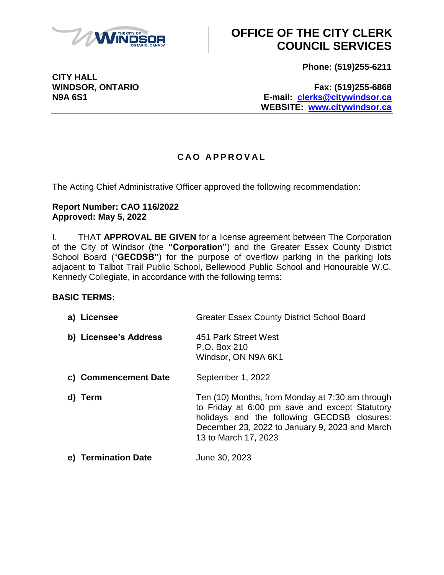

**Phone: (519)255-6211**

**CITY HALL**

**WINDSOR, ONTARIO Fax: (519)255-6868 N9A 6S1 E-mail: [clerks@citywindsor.ca](mailto:clerks@citywindsor.ca) WEBSITE: [www.citywindsor.ca](http://www.citywindsor.ca/)**

### **C A O A P P R O V A L**

The Acting Chief Administrative Officer approved the following recommendation:

### **Report Number: CAO 116/2022 Approved: May 5, 2022**

I. THAT **APPROVAL BE GIVEN** for a license agreement between The Corporation of the City of Windsor (the **"Corporation"**) and the Greater Essex County District School Board ("**GECDSB"**) for the purpose of overflow parking in the parking lots adjacent to Talbot Trail Public School, Bellewood Public School and Honourable W.C. Kennedy Collegiate, in accordance with the following terms:

### **BASIC TERMS:**

| a) Licensee                   | <b>Greater Essex County District School Board</b>                                                                                                                                                                          |
|-------------------------------|----------------------------------------------------------------------------------------------------------------------------------------------------------------------------------------------------------------------------|
| b) Licensee's Address         | 451 Park Street West<br>P.O. Box 210<br>Windsor, ON N9A 6K1                                                                                                                                                                |
| c) Commencement Date          | September 1, 2022                                                                                                                                                                                                          |
| Term<br>d)                    | Ten (10) Months, from Monday at 7:30 am through<br>to Friday at 6:00 pm save and except Statutory<br>holidays and the following GECDSB closures:<br>December 23, 2022 to January 9, 2023 and March<br>13 to March 17, 2023 |
| <b>Termination Date</b><br>e) | June 30, 2023                                                                                                                                                                                                              |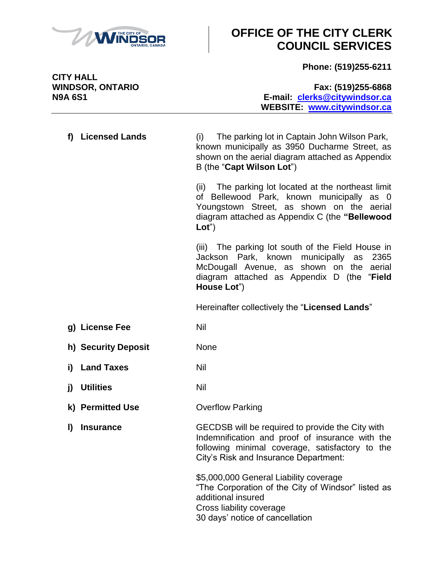

**Phone: (519)255-6211**

**CITY HALL**

### **WINDSOR, ONTARIO Fax: (519)255-6868 N9A 6S1 E-mail: [clerks@citywindsor.ca](mailto:clerks@citywindsor.ca) WEBSITE: [www.citywindsor.ca](http://www.citywindsor.ca/)**

**f) Licensed Lands** (i) The parking lot in Captain John Wilson Park, known municipally as 3950 Ducharme Street, as shown on the aerial diagram attached as Appendix B (the "**Capt Wilson Lot**")

(ii) The parking lot located at the northeast limit of Bellewood Park, known municipally as 0 Youngstown Street, as shown on the aerial diagram attached as Appendix C (the **"Bellewood Lot**")

(iii) The parking lot south of the Field House in Jackson Park, known municipally as 2365 McDougall Avenue, as shown on the aerial diagram attached as Appendix D (the "**Field House Lot**")

Hereinafter collectively the "**Licensed Lands**"

- **g)** License Fee Nil
- **h) Security Deposit** None
- **i) Land Taxes** Nil
- **j)** Utilities Nil
- **k) Permitted Use Overflow Parking**
- **l) Insurance** GECDSB will be required to provide the City with Indemnification and proof of insurance with the following minimal coverage, satisfactory to the City's Risk and Insurance Department:

 \$5,000,000 General Liability coverage "The Corporation of the City of Windsor" listed as additional insured Cross liability coverage 30 days' notice of cancellation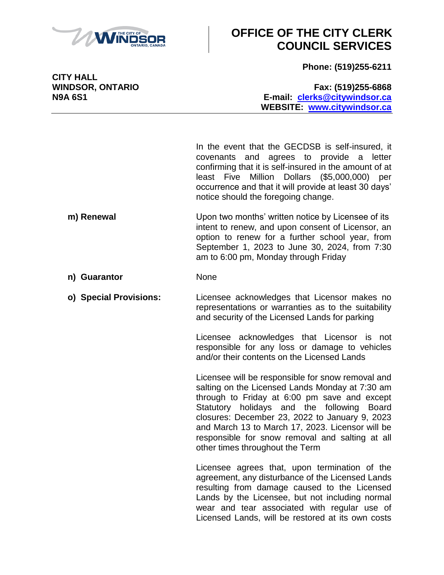

**Phone: (519)255-6211**

**CITY HALL**

#### **WINDSOR, ONTARIO Fax: (519)255-6868 N9A 6S1 E-mail: [clerks@citywindsor.ca](mailto:clerks@citywindsor.ca) WEBSITE: [www.citywindsor.ca](http://www.citywindsor.ca/)**

In the event that the GECDSB is self-insured, it covenants and agrees to provide a letter confirming that it is self-insured in the amount of at least Five Million Dollars (\$5,000,000) per occurrence and that it will provide at least 30 days' notice should the foregoing change.

- **m) Renewal** Upon two months' written notice by Licensee of its intent to renew, and upon consent of Licensor, an option to renew for a further school year, from September 1, 2023 to June 30, 2024, from 7:30 am to 6:00 pm, Monday through Friday
- **n) Guarantor** None
- **o) Special Provisions:** Licensee acknowledges that Licensor makes no representations or warranties as to the suitability and security of the Licensed Lands for parking

Licensee acknowledges that Licensor is not responsible for any loss or damage to vehicles and/or their contents on the Licensed Lands

Licensee will be responsible for snow removal and salting on the Licensed Lands Monday at 7:30 am through to Friday at 6:00 pm save and except Statutory holidays and the following Board closures: December 23, 2022 to January 9, 2023 and March 13 to March 17, 2023. Licensor will be responsible for snow removal and salting at all other times throughout the Term

Licensee agrees that, upon termination of the agreement, any disturbance of the Licensed Lands resulting from damage caused to the Licensed Lands by the Licensee, but not including normal wear and tear associated with regular use of Licensed Lands, will be restored at its own costs